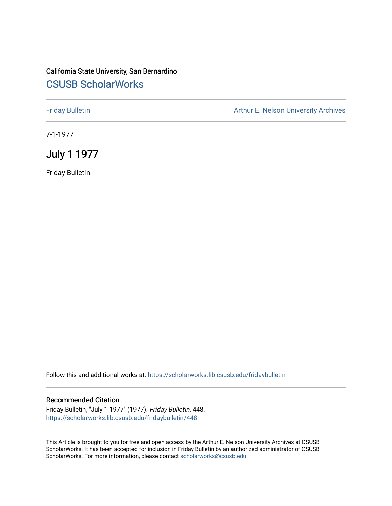# California State University, San Bernardino [CSUSB ScholarWorks](https://scholarworks.lib.csusb.edu/)

[Friday Bulletin](https://scholarworks.lib.csusb.edu/fridaybulletin) **Arthur E. Nelson University Archives** Arthur E. Nelson University Archives

7-1-1977

July 1 1977

Friday Bulletin

Follow this and additional works at: [https://scholarworks.lib.csusb.edu/fridaybulletin](https://scholarworks.lib.csusb.edu/fridaybulletin?utm_source=scholarworks.lib.csusb.edu%2Ffridaybulletin%2F448&utm_medium=PDF&utm_campaign=PDFCoverPages)

## Recommended Citation

Friday Bulletin, "July 1 1977" (1977). Friday Bulletin. 448. [https://scholarworks.lib.csusb.edu/fridaybulletin/448](https://scholarworks.lib.csusb.edu/fridaybulletin/448?utm_source=scholarworks.lib.csusb.edu%2Ffridaybulletin%2F448&utm_medium=PDF&utm_campaign=PDFCoverPages)

This Article is brought to you for free and open access by the Arthur E. Nelson University Archives at CSUSB ScholarWorks. It has been accepted for inclusion in Friday Bulletin by an authorized administrator of CSUSB ScholarWorks. For more information, please contact [scholarworks@csusb.edu.](mailto:scholarworks@csusb.edu)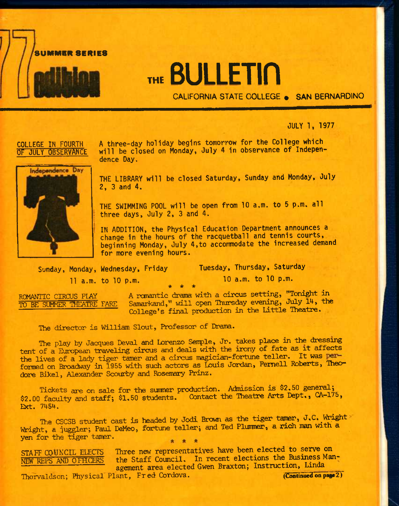

**THE** BULLETin

**CALIFORNIA STATE COLLEGE • SAN BERNARDINO** 

**JULY 1, 1977** 

## COLLEGE IN FOURTH **OF JULY OBSERVANCE**



A three-day holiday begins tomorrow for the College which will be closed on Monday, July 4 in observance of Independence Day.

THE LIBRARY will be closed Saturday, Sunday and Monday, July 2, 3 and 4.

THE SWIMMING POOL will be open from 10 a.m. to 5 p.m. all three days, July 2, 3 and 4.

IN ADDITION, the Physical Education Department announces a change in the hours of the racquetball and tennis courts, beginning Monday, July 4,to accommodate the increased demand for more evening hours.

Sunday, Monday, Wednesday, Friday Tuesday, Thursday, Saturday  $11$  a.m. to  $10$  p.m.

10 a.m. to 10 p.m.

TO BE SUMMER THEATRE FARE

ROMANTIC CIRCUS PLAY A romantic drama with a circus setting, "Tonight in Samarkand," will open Thursday evening, July 14, the College's final production in the Little Theatre.

The director is William Slout, Professor of Drama.

The play by Jacques Deval and Lorenzo Semple, Jr. takes place in the dressing tent of a European traveling circus and deals with the irony of fate as it affects the lives of a lady tiger tamer and a circus magician-fortune teller. It was performed on Broadway in 1955 with such actors as Louis Jordan, Pernell Roberts, Theodore Bikel, Alexander Scourby and Rosemary Prinz.

**\* \* \*** 

Tickets are on sale for the summer production. Admission is \$2.50 general; \$2.00 faculty and staff; \$1.50 students. Contact the Theatre Arts Dept., CA-175, Ext. 7454.

The CSCSB student cast is headed by Jodi Brown as the tiger tamer, J.C. Wright Wright, a juggler; Paul DeMeo, fortune teller; and Ted Plummer, a rich man with a yen for the tiger tamer. \* \* \*

Three new representatives have been elected to serve on the Staff Council, In recent elections the Business Management area elected Gwen Braxton; Instruction, Linda Thorvaldson; Physical Plant, Fred Cordova. (Continued on page 2) STAFF COUNCIL ELECTS NEW REPS AND OFHCERS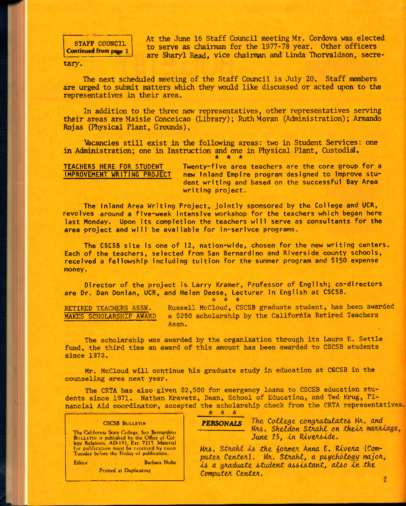### **STAFF COUNCIL Continued from page 1**

At the June 16 Staff Council meeting Mr. Cordova was elected to serve as chairman for the 1977-78 year. Other officers are Sharyl Read, vice chairman and Linda Thorvaldson, secre-

tary.

The next scheduled meeting of the Staff Council is July 20, Staff members are urged to submit matters which they would like discussed or acted upon to the representatives in their area.

In addition to the three new representatives, other representatives serving their areas are Maisie Conceicao (Library); Ruth Moran (Administration); Armando Rojas (Physical Plant, Grounds),

Vacancies still exist in the following areas: two in Student Services: one in Administration; one in Instruction and one in Physical Plant, Custodial. *\* \* \** 

| TEACHERS HERE FOR STUDENT   | Twenty-five area teachers are the core group for a |
|-----------------------------|----------------------------------------------------|
| IMPROVEMENT WRITING PROJECT | new Inland Empire program designed to improve stu- |
|                             | dent writing and based on the successful Bay Areal |
|                             | writing project.                                   |

The Inland Area Writing Project, jointly sponsored by the College and UCR, revolves around a five-week Intensive workshop for the teachers which began here last Monday. Upon its completion the teachers will serve as consultants for the area project and will be available for in-serivce programs.

The CSCSB site Is one of 12, nation-wide, chosen for the new writing centers. Each of the teachers, selected from San Bernardino and Riverside county schools, received a fellowship including tuition for the summer program and \$150 expense money.

Director of the project Is Larry Kramer, Professor of English; co-directors are Dr. Dan Donlan, UCR, and Helen Deese, Lecturer in English at CSCSB. *\* \* \** 

| <b>RETIRED</b> | TEACHERS ASSN.          |
|----------------|-------------------------|
|                | MAKES SCHOLARSHIP AWARD |

Russell McCloud, CSCSB graduate student, has been awarded a \$250 scholarship by the California Retired Teachers Assn.

The scholarship was awarded by the organization through its Laura E. Settle fund, the third time an award of this amount has been awarded to CSCSB students since 1973.

Mr. McCloud will continue his graduate study in education at CSCSB in the counseling area next year.

The CRTA has also given \$2,500 for emergency loans to CSCSB education students since 1971. Nathan Kravetz, Dean, School of Education, and Ted Krug, Financial Aid coordinator, accepted the scholarship check from the CRTA representatives

#### CSCSB BULLETIN

The California State College, San Bernardino BuLLkTlN IS published by the Office of Cob lege Relations, AD'15I, Ext. 7217. Material fur publication must be received by noon Tuesday before the Friday of publication.

Editor . . . . Barbara Nolte

Printed at Duplicating

*is it \** 

*FERSONALS* The College congratulates Mr. and Mrs. Sheldon Strahl on their marriage, June 25, in Riverside.

M**AA***. the. ^o/uneA. Anna* E, *ZcoeAa* [Com*puteA CenteA), Wi, St/iakt, a p&yckology majoA,*  is a graduate student assistant, also in the *CompateA CenteA,*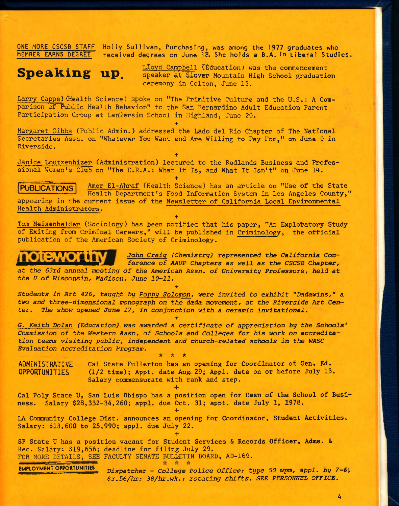ONE MORE CSCSB STAFF Holly Sullivan, Purchasing, was among the 1977 graduates who<br>MEMBER EARNS DEGREE received degrees on June 18, She holds a B.A. in Liberal Studi received degrees on June 18. She holds a B.A. in Liberal Studies.

**Speaking up. Lloyd Campbell (Education) was the commencement speaker at Slover Mountain High School graduation** ceremony in Colton, June 15.

Larry Cappel (Health Science) spoke on "The Primitive Culture and the U.S.; A Comparison of Public Health Behavior" to the San Bernardino Adult Education Parent Participation Croup at Lankersim School in Highland, June 20.

Margaret Gibbs (Public Admin.) addressed the Lado del Rio Chapter of The National Secretaries Assn. on "Whatever You Want and Are Willing to Pay For," on June 9 in Riverside.

**+** 

**+**  Janice Loutzenhizer (Administration) lectured to the Redlands Business and Professional Women's Club on "The E.R.A.: What It Is, and What It Isn't" on June 14. +

Amer El-Ahraf (Health Science) has an article on "Use of the State Health Department's Food Information System in Los Angeles County," **PUBLICATIONS**  appearing in the current issue of the Newsletter of California Local Environmental Health Administrators.

Tom Meisenhelder (Sociology) has been notified that his paper, "An Exploratory Study of Exiting from Criminal Careers," will be published in Criminology, the official publication of the American Society of Criminology.

**+** 

*John Craig (Chemistry) represented the California Conference of AAVP Chapters as well as the CSCSB Chapter, at the 63rd annual meeting of the American Assn\* of University Professors, held at the U of Wisconsin, Madison, June 10-11»* 

*+* 

*+* 

*Students in Art 426, taught by Poppy Solomon, were invited to exhibit "Dadawins," a two and three-dimensional monograph on the dada movement, at the Riverside Art Center. The show opened June 17, in conjunction with a ceramic invitational.* 

*G. Keith Dolan (Education). was awarded a certificate of appreciation by the Schools' Commission of the Western Assn. of Schools and Colleges for his work on accreditation teams visiting public, independent and church-related schools in the WASC Evaluation Accreditation Program.* 

ADMINISTRATIVE Cal State Fullerton has an opening for Coordinator of Gen. Ed. OPPORTUNITIES (1/2 time); Appt. date Aug. 29; Appl. date on or before July 15. Salary commensurate with rank and step. **+** 

*•k "k "k* 

Cal Poly State U, San Luis Obispo has a position open for Dean of the School of Business. Salary \$28,332-34,260; appl. due Oct. 31; appt. date July 1, 1978. **+** 

LA Community College Dist. announces an opening for Coordinator, Student Activities. Salary: \$13,600 to 25,990; appl. due July 22. **+** 

SF State U has a position vacant for Student Services & Records Officer, Adms. & Rec. Salary: \$19,656; deadline for filing July 29. FOR MORE DETAILS, SEE FACULTY SENATE BULLETIN BOARD, AD-169.  $\Delta$ 

6MPLOYMENT OPPORTUNITIES *Dispatcher* - *College Police Office; type 50 wpm, appl. by 7-6l \$3.56/hr; 38/hr.wk.; rotating shifts. SEE PERSONNEL OFFICE.*